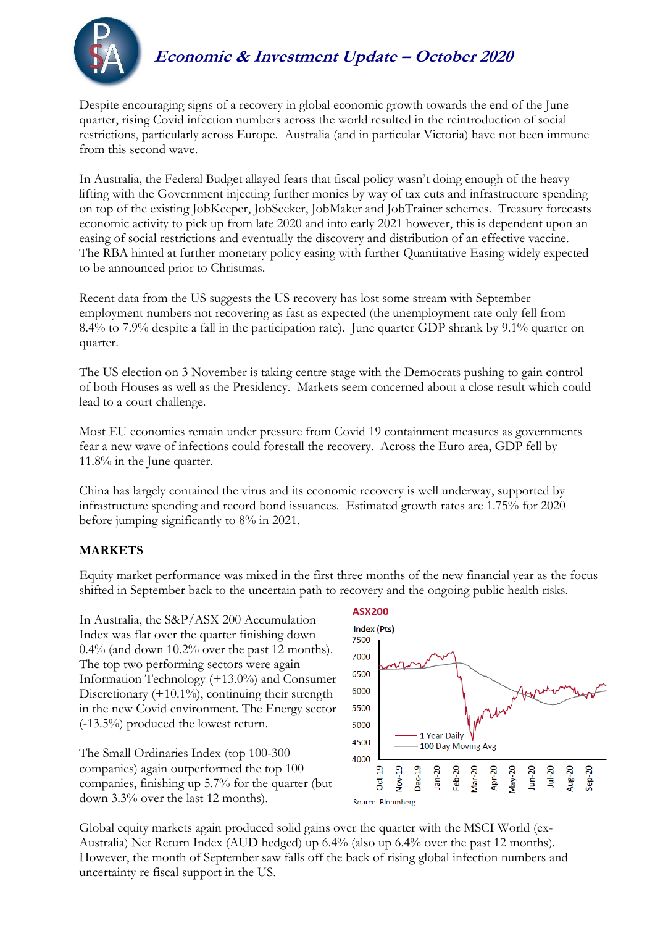

# **Economic & Investment Update – October 2020**

Despite encouraging signs of a recovery in global economic growth towards the end of the June quarter, rising Covid infection numbers across the world resulted in the reintroduction of social restrictions, particularly across Europe. Australia (and in particular Victoria) have not been immune from this second wave.

In Australia, the Federal Budget allayed fears that fiscal policy wasn't doing enough of the heavy lifting with the Government injecting further monies by way of tax cuts and infrastructure spending on top of the existing JobKeeper, JobSeeker, JobMaker and JobTrainer schemes. Treasury forecasts economic activity to pick up from late 2020 and into early 2021 however, this is dependent upon an easing of social restrictions and eventually the discovery and distribution of an effective vaccine. The RBA hinted at further monetary policy easing with further Quantitative Easing widely expected to be announced prior to Christmas.

Recent data from the US suggests the US recovery has lost some stream with September employment numbers not recovering as fast as expected (the unemployment rate only fell from 8.4% to 7.9% despite a fall in the participation rate). June quarter GDP shrank by 9.1% quarter on quarter.

The US election on 3 November is taking centre stage with the Democrats pushing to gain control of both Houses as well as the Presidency. Markets seem concerned about a close result which could lead to a court challenge.

Most EU economies remain under pressure from Covid 19 containment measures as governments fear a new wave of infections could forestall the recovery. Across the Euro area, GDP fell by 11.8% in the June quarter.

China has largely contained the virus and its economic recovery is well underway, supported by infrastructure spending and record bond issuances. Estimated growth rates are 1.75% for 2020 before jumping significantly to 8% in 2021.

### **MARKETS**

Equity market performance was mixed in the first three months of the new financial year as the focus shifted in September back to the uncertain path to recovery and the ongoing public health risks.

In Australia, the S&P/ASX 200 Accumulation Index was flat over the quarter finishing down 0.4% (and down 10.2% over the past 12 months). The top two performing sectors were again Information Technology (+13.0%) and Consumer Discretionary  $(+10.1\%)$ , continuing their strength in the new Covid environment. The Energy sector (-13.5%) produced the lowest return.

The Small Ordinaries Index (top 100-300 companies) again outperformed the top 100 companies, finishing up 5.7% for the quarter (but down 3.3% over the last 12 months).



Global equity markets again produced solid gains over the quarter with the MSCI World (ex-Australia) Net Return Index (AUD hedged) up 6.4% (also up 6.4% over the past 12 months). However, the month of September saw falls off the back of rising global infection numbers and uncertainty re fiscal support in the US.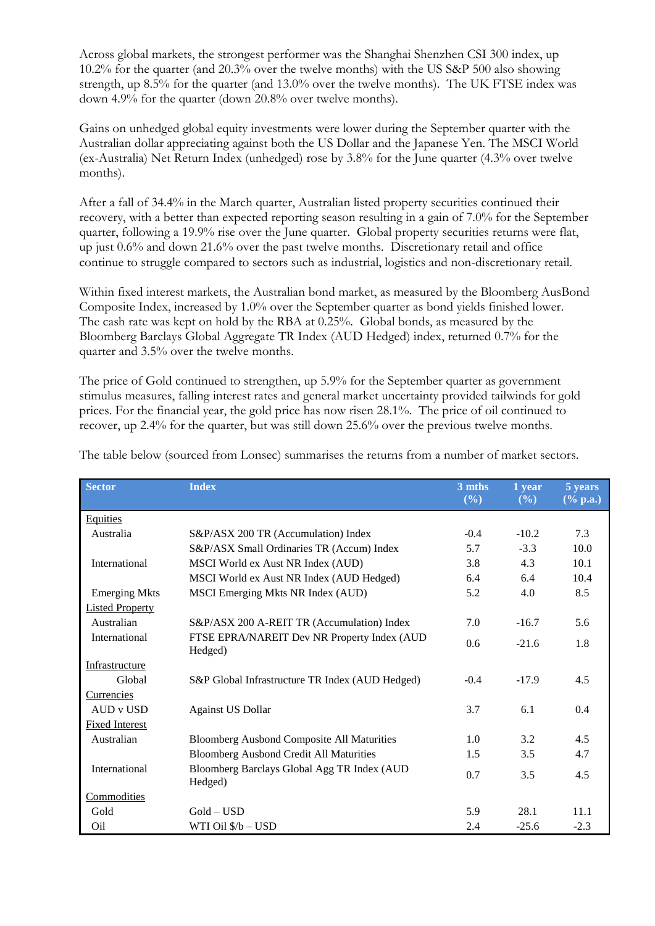Across global markets, the strongest performer was the Shanghai Shenzhen CSI 300 index, up 10.2% for the quarter (and 20.3% over the twelve months) with the US S&P 500 also showing strength, up 8.5% for the quarter (and 13.0% over the twelve months). The UK FTSE index was down 4.9% for the quarter (down 20.8% over twelve months).

Gains on unhedged global equity investments were lower during the September quarter with the Australian dollar appreciating against both the US Dollar and the Japanese Yen. The MSCI World (ex-Australia) Net Return Index (unhedged) rose by 3.8% for the June quarter (4.3% over twelve months).

After a fall of 34.4% in the March quarter, Australian listed property securities continued their recovery, with a better than expected reporting season resulting in a gain of 7.0% for the September quarter, following a 19.9% rise over the June quarter. Global property securities returns were flat, up just 0.6% and down 21.6% over the past twelve months. Discretionary retail and office continue to struggle compared to sectors such as industrial, logistics and non-discretionary retail.

Within fixed interest markets, the Australian bond market, as measured by the Bloomberg AusBond Composite Index, increased by 1.0% over the September quarter as bond yields finished lower. The cash rate was kept on hold by the RBA at 0.25%. Global bonds, as measured by the Bloomberg Barclays Global Aggregate TR Index (AUD Hedged) index, returned 0.7% for the quarter and 3.5% over the twelve months.

The price of Gold continued to strengthen, up 5.9% for the September quarter as government stimulus measures, falling interest rates and general market uncertainty provided tailwinds for gold prices. For the financial year, the gold price has now risen 28.1%. The price of oil continued to recover, up 2.4% for the quarter, but was still down 25.6% over the previous twelve months.

| <b>Sector</b>          | <b>Index</b>                                      | 3 mths<br>(%) | 1 year<br>$($ %) | 5 years<br>$(\%$ p.a.) |
|------------------------|---------------------------------------------------|---------------|------------------|------------------------|
|                        |                                                   |               |                  |                        |
| <b>Equities</b>        |                                                   |               |                  |                        |
| Australia              | S&P/ASX 200 TR (Accumulation) Index               | $-0.4$        | $-10.2$          | 7.3                    |
|                        | S&P/ASX Small Ordinaries TR (Accum) Index         | 5.7           | $-3.3$           | 10.0                   |
| International          | MSCI World ex Aust NR Index (AUD)                 | 3.8           | 4.3              | 10.1                   |
|                        | MSCI World ex Aust NR Index (AUD Hedged)          | 6.4           | 6.4              | 10.4                   |
| <b>Emerging Mkts</b>   | MSCI Emerging Mkts NR Index (AUD)                 | 5.2           | 4.0              | 8.5                    |
| <b>Listed Property</b> |                                                   |               |                  |                        |
| Australian             | S&P/ASX 200 A-REIT TR (Accumulation) Index        | 7.0           | $-16.7$          | 5.6                    |
| International          | FTSE EPRA/NAREIT Dev NR Property Index (AUD       | 0.6           | $-21.6$          | 1.8                    |
|                        | Hedged)                                           |               |                  |                        |
| Infrastructure         |                                                   |               |                  |                        |
| Global                 | S&P Global Infrastructure TR Index (AUD Hedged)   | $-0.4$        | $-17.9$          | 4.5                    |
| Currencies             |                                                   |               |                  |                        |
| AUD v USD              | <b>Against US Dollar</b>                          | 3.7           | 6.1              | 0.4                    |
| <b>Fixed Interest</b>  |                                                   |               |                  |                        |
| Australian             | <b>Bloomberg Ausbond Composite All Maturities</b> | 1.0           | 3.2              | 4.5                    |
|                        | <b>Bloomberg Ausbond Credit All Maturities</b>    | 1.5           | 3.5              | 4.7                    |
| International          | Bloomberg Barclays Global Agg TR Index (AUD       | 0.7           | 3.5              | 4.5                    |
|                        | Hedged)                                           |               |                  |                        |
| Commodities            |                                                   |               |                  |                        |
| Gold                   | $Gold - USD$                                      | 5.9           | 28.1             | 11.1                   |
| Oil                    | WTI Oil \$/b - USD                                | 2.4           | $-25.6$          | $-2.3$                 |

The table below (sourced from Lonsec) summarises the returns from a number of market sectors.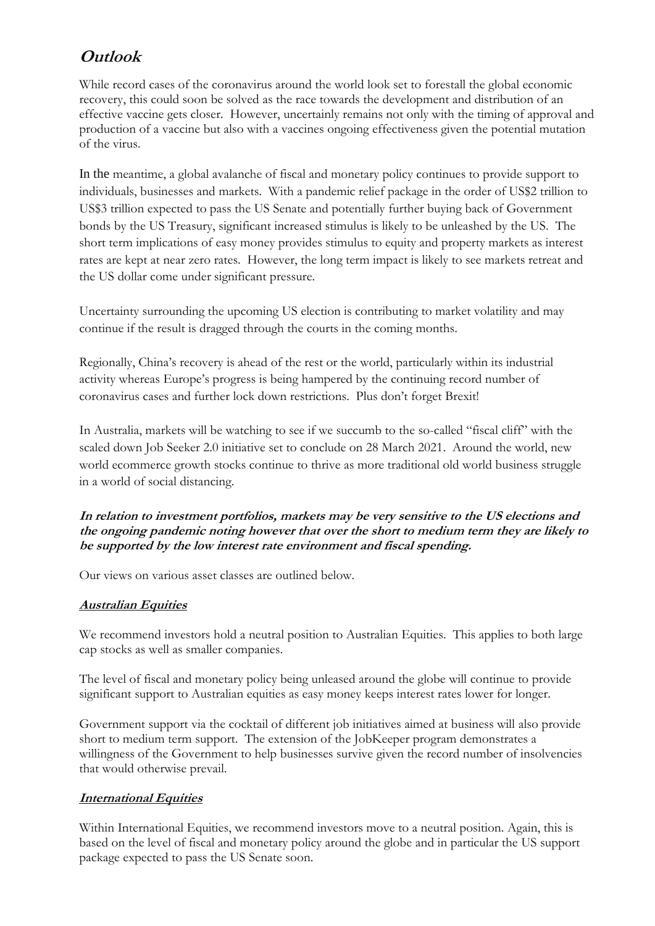## **Outlook**

While record cases of the coronavirus around the world look set to forestall the global economic recovery, this could soon be solved as the race towards the development and distribution of an effective vaccine gets closer. However, uncertainly remains not only with the timing of approval and production of a vaccine but also with a vaccines ongoing effectiveness given the potential mutation of the virus.

In the meantime, a global avalanche of fiscal and monetary policy continues to provide support to individuals, businesses and markets. With a pandemic relief package in the order of US\$2 trillion to US\$3 trillion expected to pass the US Senate and potentially further buying back of Government bonds by the US Treasury, significant increased stimulus is likely to be unleashed by the US. The short term implications of easy money provides stimulus to equity and property markets as interest rates are kept at near zero rates. However, the long term impact is likely to see markets retreat and the US dollar come under significant pressure.

Uncertainty surrounding the upcoming US election is contributing to market volatility and may continue if the result is dragged through the courts in the coming months.

Regionally, China's recovery is ahead of the rest or the world, particularly within its industrial activity whereas Europe's progress is being hampered by the continuing record number of coronavirus cases and further lock down restrictions. Plus don't forget Brexit!

In Australia, markets will be watching to see if we succumb to the so-called "fiscal cliff" with the scaled down Job Seeker 2.0 initiative set to conclude on 28 March 2021. Around the world, new world ecommerce growth stocks continue to thrive as more traditional old world business struggle in a world of social distancing.

**In relation to investment portfolios, markets may be very sensitive to the US elections and the ongoing pandemic noting however that over the short to medium term they are likely to be supported by the low interest rate environment and fiscal spending.**

Our views on various asset classes are outlined below.

### **Australian Equities**

We recommend investors hold a neutral position to Australian Equities. This applies to both large cap stocks as well as smaller companies.

The level of fiscal and monetary policy being unleased around the globe will continue to provide significant support to Australian equities as easy money keeps interest rates lower for longer.

Government support via the cocktail of different job initiatives aimed at business will also provide short to medium term support. The extension of the JobKeeper program demonstrates a willingness of the Government to help businesses survive given the record number of insolvencies that would otherwise prevail.

### **International Equities**

Within International Equities, we recommend investors move to a neutral position. Again, this is based on the level of fiscal and monetary policy around the globe and in particular the US support package expected to pass the US Senate soon.